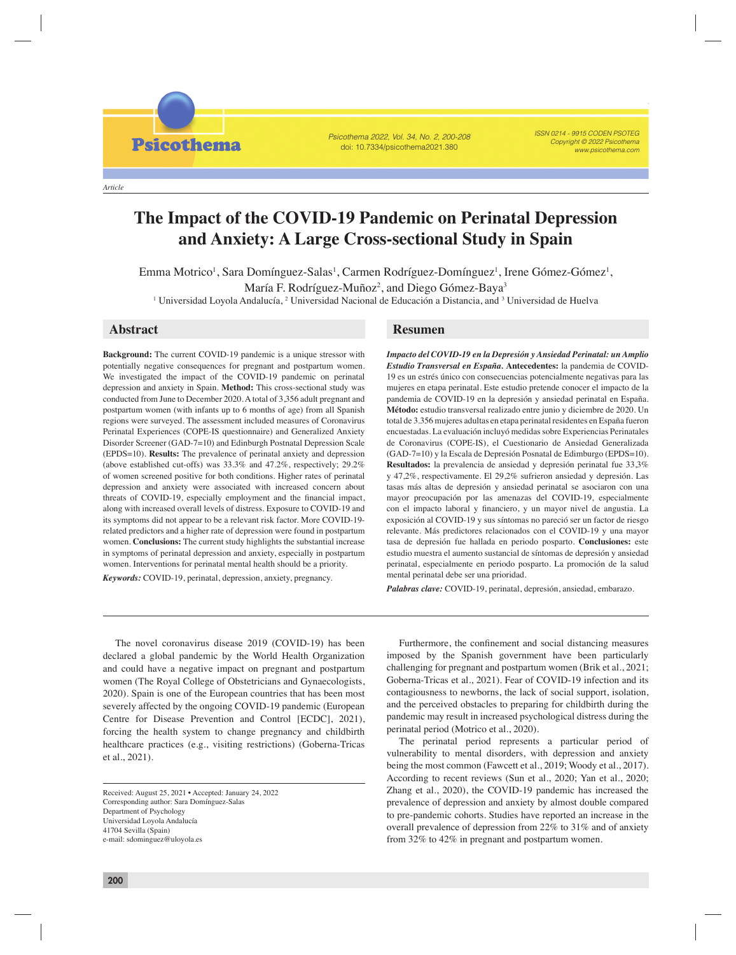Psicothema 2022, Vol. 34, No. 2, 200-208 doi: 10.7334/psicothema2021.380

ISSN 0214 - 9915 CODEN PSOTEG Copyright © 2022 Psicothema www.psicothema.com

*Article*

**Psicothema** 

# **The Impact of the COVID-19 Pandemic on Perinatal Depression and Anxiety: A Large Cross-sectional Study in Spain**

Emma Motrico, Sara Domínguez-Salas, Carmen Rodríguez-Domínguez, Irene Gómez-Gómez, María F. Rodríguez-Muñoz, and Diego Gómez-Baya

Emma Motrico<sup>1</sup>, Sara Domínguez-Salas<sup>1</sup>, Carmen Rodríguez-Domínguez<sup>1</sup>, Irene Gómez-Gómez<sup>1</sup>, María F. Rodríguez-Muñoz<sup>2</sup>, and Diego Gómez-Baya<sup>3</sup>

 $^1$  Universidad Loyola Andalucía,  $^2$  Universidad Nacional de Educación a Distancia, and  $^3$  Universidad de Huelva

**Background:** The current COVID-19 pandemic is a unique stressor with potentially negative consequences for pregnant and postpartum women. We investigated the impact of the COVID-19 pandemic on perinatal depression and anxiety in Spain. **Method:** This cross-sectional study was conducted from June to December 2020. A total of 3,356 adult pregnant and postpartum women (with infants up to 6 months of age) from all Spanish regions were surveyed. The assessment included measures of Coronavirus Perinatal Experiences (COPE-IS questionnaire) and Generalized Anxiety Disorder Screener (GAD-7=10) and Edinburgh Postnatal Depression Scale (EPDS=10). **Results:** The prevalence of perinatal anxiety and depression (above established cut-offs) was 33.3% and 47.2%, respectively; 29.2% of women screened positive for both conditions. Higher rates of perinatal depression and anxiety were associated with increased concern about threats of COVID-19, especially employment and the financial impact, along with increased overall levels of distress. Exposure to COVID-19 and its symptoms did not appear to be a relevant risk factor. More COVID-19 related predictors and a higher rate of depression were found in postpartum women. **Conclusions:** The current study highlights the substantial increase in symptoms of perinatal depression and anxiety, especially in postpartum women. Interventions for perinatal mental health should be a priority.

*Keywords:* COVID-19, perinatal, depression, anxiety, pregnancy.

# **Abstract Resumen**

*Impacto del COVID-19 en la Depresión y Ansiedad Perinatal: un Amplio Estudio Transversal en España.* **Antecedentes:** la pandemia de COVID-19 es un estrés único con consecuencias potencialmente negativas para las mujeres en etapa perinatal. Este estudio pretende conocer el impacto de la pandemia de COVID-19 en la depresión y ansiedad perinatal en España. **Método:** estudio transversal realizado entre junio y diciembre de 2020. Un total de 3.356 mujeres adultas en etapa perinatal residentes en España fueron encuestadas. La evaluación incluyó medidas sobre Experiencias Perinatales de Coronavirus (COPE-IS), el Cuestionario de Ansiedad Generalizada (GAD-7=10) y la Escala de Depresión Posnatal de Edimburgo (EPDS=10). **Resultados:** la prevalencia de ansiedad y depresión perinatal fue 33,3% y 47,2%, respectivamente. El 29,2% sufrieron ansiedad y depresión. Las tasas más altas de depresión y ansiedad perinatal se asociaron con una mayor preocupación por las amenazas del COVID-19, especialmente con el impacto laboral y financiero, y un mayor nivel de angustia. La exposición al COVID-19 y sus síntomas no pareció ser un factor de riesgo relevante. Más predictores relacionados con el COVID-19 y una mayor tasa de depresión fue hallada en periodo posparto. **Conclusiones:** este estudio muestra el aumento sustancial de síntomas de depresión y ansiedad perinatal, especialmente en periodo posparto. La promoción de la salud mental perinatal debe ser una prioridad.

*Palabras clave:* COVID-19, perinatal, depresión, ansiedad, embarazo.

The novel coronavirus disease 2019 (COVID-19) has been declared a global pandemic by the World Health Organization and could have a negative impact on pregnant and postpartum women (The Royal College of Obstetricians and Gynaecologists, 2020). Spain is one of the European countries that has been most severely affected by the ongoing COVID-19 pandemic (European Centre for Disease Prevention and Control [ECDC], 2021), forcing the health system to change pregnancy and childbirth healthcare practices (e.g., visiting restrictions) (Goberna-Tricas et al., 2021).

Received: August 25, 2021 • Accepted: January 24, 2022 Corresponding author: Sara Domínguez-Salas Department of Psychology Universidad Loyola Andalucía 41704 Sevilla (Spain) e-mail: sdominguez@uloyola.es

Furthermore, the confinement and social distancing measures imposed by the Spanish government have been particularly challenging for pregnant and postpartum women (Brik et al., 2021; Goberna-Tricas et al., 2021). Fear of COVID-19 infection and its contagiousness to newborns, the lack of social support, isolation, and the perceived obstacles to preparing for childbirth during the pandemic may result in increased psychological distress during the perinatal period (Motrico et al., 2020).

The perinatal period represents a particular period of vulnerability to mental disorders, with depression and anxiety being the most common (Fawcett et al., 2019; Woody et al., 2017). According to recent reviews (Sun et al., 2020; Yan et al., 2020; Zhang et al., 2020), the COVID-19 pandemic has increased the prevalence of depression and anxiety by almost double compared to pre-pandemic cohorts. Studies have reported an increase in the overall prevalence of depression from 22% to 31% and of anxiety from 32% to 42% in pregnant and postpartum women.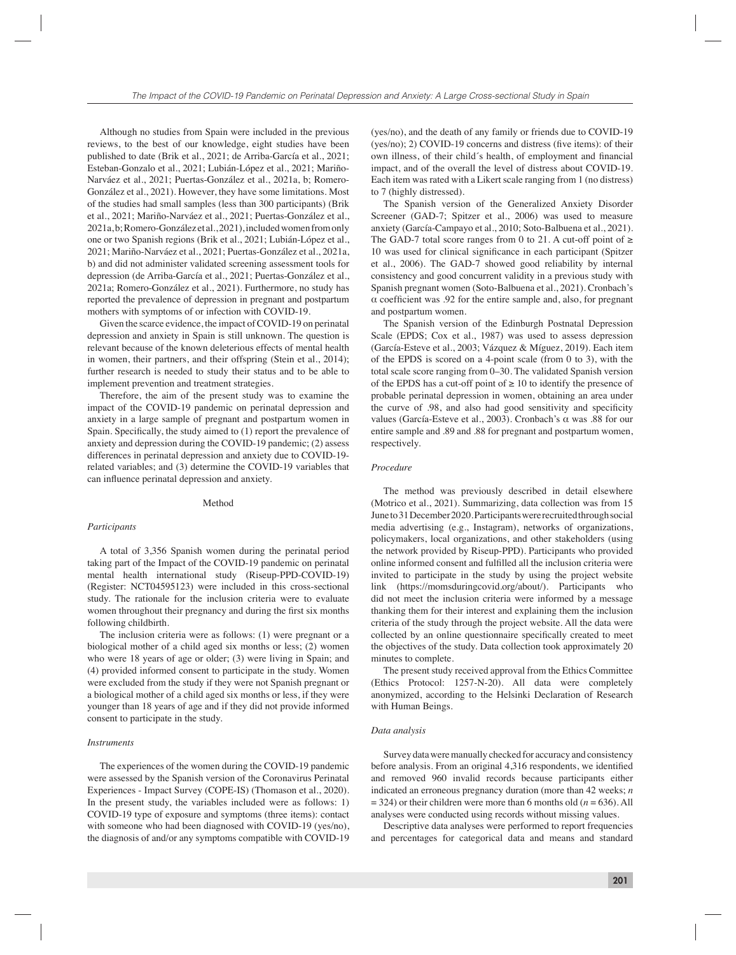Although no studies from Spain were included in the previous reviews, to the best of our knowledge, eight studies have been published to date (Brik et al., 2021; de Arriba-García et al., 2021; Esteban-Gonzalo et al., 2021; Lubián-López et al., 2021; Mariño-Narváez et al., 2021; Puertas-González et al., 2021a, b; Romero-González et al., 2021). However, they have some limitations. Most of the studies had small samples (less than 300 participants) (Brik et al., 2021; Mariño-Narváez et al., 2021; Puertas-González et al., 2021a, b; Romero-González et al., 2021), included women from only one or two Spanish regions (Brik et al., 2021; Lubián-López et al., 2021; Mariño-Narváez et al., 2021; Puertas-González et al., 2021a, b) and did not administer validated screening assessment tools for depression (de Arriba-García et al., 2021; Puertas-González et al., 2021a; Romero-González et al., 2021). Furthermore, no study has reported the prevalence of depression in pregnant and postpartum mothers with symptoms of or infection with COVID-19.

Given the scarce evidence, the impact of COVID-19 on perinatal depression and anxiety in Spain is still unknown. The question is relevant because of the known deleterious effects of mental health in women, their partners, and their offspring (Stein et al., 2014); further research is needed to study their status and to be able to implement prevention and treatment strategies.

Therefore, the aim of the present study was to examine the impact of the COVID-19 pandemic on perinatal depression and anxiety in a large sample of pregnant and postpartum women in Spain. Specifically, the study aimed to (1) report the prevalence of anxiety and depression during the COVID-19 pandemic; (2) assess differences in perinatal depression and anxiety due to COVID-19 related variables; and (3) determine the COVID-19 variables that can influence perinatal depression and anxiety.

# Method

## *Participants*

A total of 3,356 Spanish women during the perinatal period taking part of the Impact of the COVID-19 pandemic on perinatal mental health international study (Riseup-PPD-COVID-19) (Register: NCT04595123) were included in this cross-sectional study. The rationale for the inclusion criteria were to evaluate women throughout their pregnancy and during the first six months following childbirth.

The inclusion criteria were as follows: (1) were pregnant or a biological mother of a child aged six months or less; (2) women who were 18 years of age or older; (3) were living in Spain; and (4) provided informed consent to participate in the study. Women were excluded from the study if they were not Spanish pregnant or a biological mother of a child aged six months or less, if they were younger than 18 years of age and if they did not provide informed consent to participate in the study.

# *Instruments*

The experiences of the women during the COVID-19 pandemic were assessed by the Spanish version of the Coronavirus Perinatal Experiences - Impact Survey (COPE-IS) (Thomason et al., 2020). In the present study, the variables included were as follows: 1) COVID-19 type of exposure and symptoms (three items): contact with someone who had been diagnosed with COVID-19 (yes/no), the diagnosis of and/or any symptoms compatible with COVID-19

(yes/no), and the death of any family or friends due to COVID-19  $(yes/no); 2) COVID-19 concerns and distress (five items): of their$ own illness, of their child's health, of employment and financial impact, and of the overall the level of distress about COVID-19. Each item was rated with a Likert scale ranging from 1 (no distress) to 7 (highly distressed).

The Spanish version of the Generalized Anxiety Disorder Screener (GAD-7; Spitzer et al., 2006) was used to measure anxiety (García-Campayo et al., 2010; Soto-Balbuena et al., 2021). The GAD-7 total score ranges from 0 to 21. A cut-off point of  $\ge$ 10 was used for clinical significance in each participant (Spitzer et al., 2006). The GAD-7 showed good reliability by internal consistency and good concurrent validity in a previous study with Spanish pregnant women (Soto-Balbuena et al., 2021). Cronbach's  $\alpha$  coefficient was .92 for the entire sample and, also, for pregnant and postpartum women.

The Spanish version of the Edinburgh Postnatal Depression Scale (EPDS; Cox et al., 1987) was used to assess depression (García-Esteve et al., 2003; Vázquez & Míguez, 2019). Each item of the EPDS is scored on a 4-point scale (from 0 to 3), with the total scale score ranging from 0–30. The validated Spanish version of the EPDS has a cut-off point of  $\geq 10$  to identify the presence of probable perinatal depression in women, obtaining an area under the curve of .98, and also had good sensitivity and specificity values (García-Esteve et al., 2003). Cronbach's α was .88 for our entire sample and .89 and .88 for pregnant and postpartum women, respectively.

# *Procedure*

The method was previously described in detail elsewhere (Motrico et al., 2021). Summarizing, data collection was from 15 June to 31 December 2020. Participants were recruited through social media advertising (e.g., Instagram), networks of organizations, policymakers, local organizations, and other stakeholders (using the network provided by Riseup-PPD). Participants who provided online informed consent and fulfilled all the inclusion criteria were invited to participate in the study by using the project website link (https://momsduringcovid.org/about/). Participants who did not meet the inclusion criteria were informed by a message thanking them for their interest and explaining them the inclusion criteria of the study through the project website. All the data were collected by an online questionnaire specifically created to meet the objectives of the study. Data collection took approximately 20 minutes to complete.

The present study received approval from the Ethics Committee (Ethics Protocol: 1257-N-20). All data were completely anonymized, according to the Helsinki Declaration of Research with Human Beings.

# *Data analysis*

Survey data were manually checked for accuracy and consistency before analysis. From an original 4,316 respondents, we identified and removed 960 invalid records because participants either indicated an erroneous pregnancy duration (more than 42 weeks; *n*  $= 324$ ) or their children were more than 6 months old ( $n = 636$ ). All analyses were conducted using records without missing values.

Descriptive data analyses were performed to report frequencies and percentages for categorical data and means and standard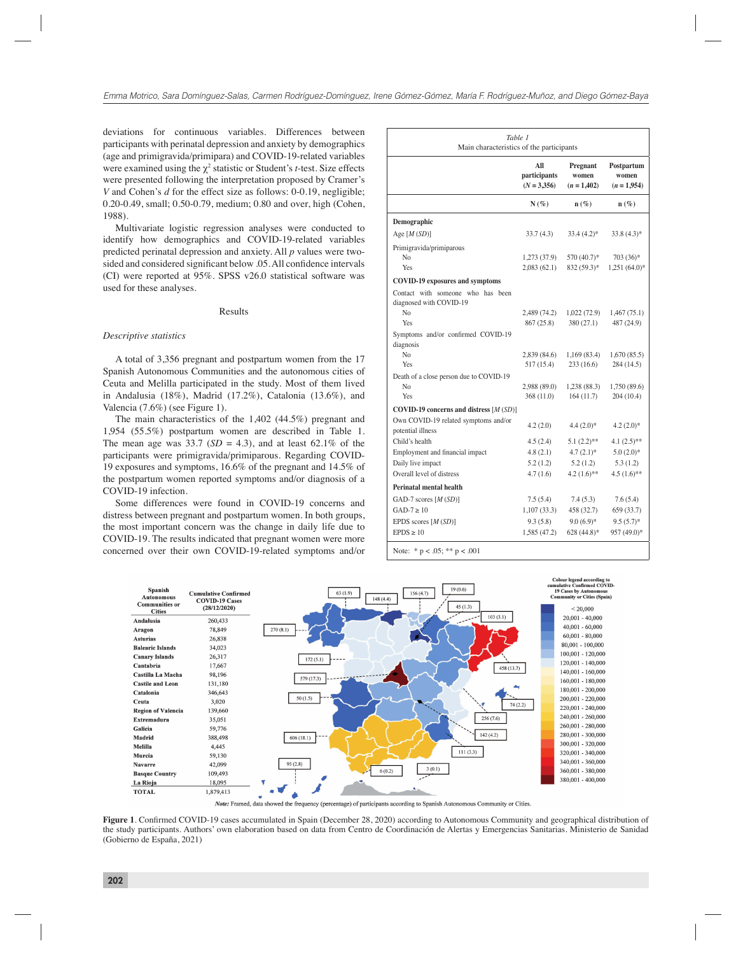deviations for continuous variables. Differences between participants with perinatal depression and anxiety by demographics (age and primigravida/primipara) and COVID-19-related variables were examined using the  $\chi^2$  statistic or Student's *t*-test. Size effects were presented following the interpretation proposed by Cramer's *V* and Cohen's *d* for the effect size as follows: 0-0.19, negligible; 0.20-0.49, small; 0.50-0.79, medium; 0.80 and over, high (Cohen, 1988).

Multivariate logistic regression analyses were conducted to identify how demographics and COVID-19-related variables predicted perinatal depression and anxiety. All *p* values were twosided and considered significant below .05. All confidence intervals (CI) were reported at 95%. SPSS v26.0 statistical software was used for these analyses.

# Results

# *Descriptive statistics*

A total of 3,356 pregnant and postpartum women from the 17 Spanish Autonomous Communities and the autonomous cities of Ceuta and Melilla participated in the study. Most of them lived in Andalusia (18%), Madrid (17.2%), Catalonia (13.6%), and Valencia (7.6%) (see Figure 1).

The main characteristics of the 1,402 (44.5%) pregnant and 1,954 (55.5%) postpartum women are described in Table 1. The mean age was 33.7 ( $SD = 4.3$ ), and at least 62.1% of the participants were primigravida/primiparous. Regarding COVID-19 exposures and symptoms, 16.6% of the pregnant and 14.5% of the postpartum women reported symptoms and/or diagnosis of a COVID-19 infection.

Some differences were found in COVID-19 concerns and distress between pregnant and postpartum women. In both groups, the most important concern was the change in daily life due to COVID-19. The results indicated that pregnant women were more concerned over their own COVID-19-related symptoms and/or

| Table 1<br>Main characteristics of the participants               |                                      |                                  |                                      |  |  |  |  |  |  |
|-------------------------------------------------------------------|--------------------------------------|----------------------------------|--------------------------------------|--|--|--|--|--|--|
|                                                                   | All<br>participants<br>$(N = 3,356)$ | Pregnant<br>women<br>$(n=1,402)$ | Postpartum<br>women<br>$(n = 1.954)$ |  |  |  |  |  |  |
|                                                                   | $N(\%)$                              | $n(\%)$                          | $n(\%)$                              |  |  |  |  |  |  |
| Demographic                                                       |                                      |                                  |                                      |  |  |  |  |  |  |
| Age $[M(SD)]$                                                     | 33.7 (4.3)                           | $33.4(4.2)^*$                    | $33.8(4.3)*$                         |  |  |  |  |  |  |
| Primigravida/primiparous                                          |                                      |                                  |                                      |  |  |  |  |  |  |
| N <sub>0</sub>                                                    | 1,273 (37.9)                         | 570 (40.7)*                      | 703 (36)*                            |  |  |  |  |  |  |
| Yes                                                               | 2,083(62.1)                          | 832 (59.3)*                      | $1,251(64.0)$ *                      |  |  |  |  |  |  |
| <b>COVID-19 exposures and symptoms</b>                            |                                      |                                  |                                      |  |  |  |  |  |  |
| Contact with someone who has been<br>diagnosed with COVID-19      |                                      |                                  |                                      |  |  |  |  |  |  |
| N <sub>0</sub>                                                    | 2,489 (74.2)                         | 1,022 (72.9)                     | 1,467 (75.1)                         |  |  |  |  |  |  |
| Yes                                                               | 867 (25.8)                           | 380 (27.1)                       | 487 (24.9)                           |  |  |  |  |  |  |
| Symptoms and/or confirmed COVID-19<br>diagnosis<br>N <sub>o</sub> | 2,839(84.6)                          | 1,169(83.4)                      | 1,670 (85.5)                         |  |  |  |  |  |  |
| Yes                                                               | 517 (15.4)                           | 233(16.6)                        | 284 (14.5)                           |  |  |  |  |  |  |
| Death of a close person due to COVID-19                           |                                      |                                  |                                      |  |  |  |  |  |  |
| N <sub>0</sub>                                                    | 2,988 (89.0)                         | 1,238(88.3)                      | 1,750 (89.6)                         |  |  |  |  |  |  |
| Yes                                                               | 368(11.0)                            | 164(11.7)                        | 204(10.4)                            |  |  |  |  |  |  |
| COVID-19 concerns and distress $[M(SD)]$                          |                                      |                                  |                                      |  |  |  |  |  |  |
| Own COVID-19 related symptoms and/or<br>potential illness         | 4.2(2.0)                             | $4.4(2.0)*$                      | $4.2(2.0)*$                          |  |  |  |  |  |  |
| Child's health                                                    | 4.5(2.4)                             | $5.1(2.2)$ **                    | $4.1(2.5)$ **                        |  |  |  |  |  |  |
| Employment and financial impact                                   | 4.8(2.1)                             | $4.7(2.1)$ *                     | $5.0(2.0)*$                          |  |  |  |  |  |  |
| Daily live impact                                                 | 5.2(1.2)                             | 5.2(1.2)                         | 5.3(1.2)                             |  |  |  |  |  |  |
| Overall level of distress                                         | 4.7(1.6)                             | $4.2(1.6)$ **                    | $4.5(1.6)$ **                        |  |  |  |  |  |  |
| <b>Perinatal mental health</b>                                    |                                      |                                  |                                      |  |  |  |  |  |  |
| GAD-7 scores $[M(SD)]$                                            | 7.5(5.4)                             | 7.4 (5.3)                        | 7.6(5.4)                             |  |  |  |  |  |  |
| $GAD-7 \ge 10$                                                    | 1,107 (33.3)                         | 458 (32.7)                       | 659 (33.7)                           |  |  |  |  |  |  |
| EPDS scores $[M(SD)]$                                             | 9.3(5.8)                             | $9.0(6.9)*$                      | $9.5(5.7)$ *                         |  |  |  |  |  |  |
| $EPDS \ge 10$                                                     | 1,585 (47.2)                         | 628 $(44.8)$ *                   | 957 (49.0)*                          |  |  |  |  |  |  |



Note: Framed, data showed the frequency (percentage) of participants according to Spanish Autonomous Community or Cities.

Figure 1. Confirmed COVID-19 cases accumulated in Spain (December 28, 2020) according to Autonomous Community and geographical distribution of the study participants. Authors' own elaboration based on data from Centro de Coordinación de Alertas y Emergencias Sanitarias. Ministerio de Sanidad (Gobierno de España, 2021)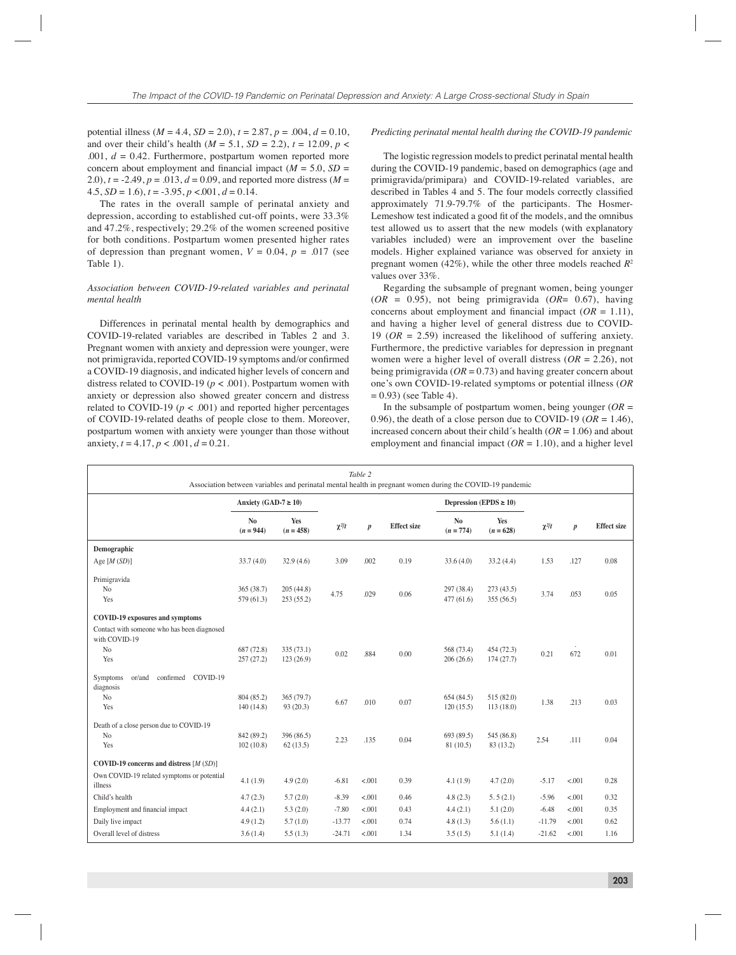potential illness  $(M = 4.4, SD = 2.0), t = 2.87, p = .004, d = 0.10,$ and over their child's health ( $M = 5.1$ ,  $SD = 2.2$ ),  $t = 12.09$ ,  $p <$ .001, *d* = 0.42. Furthermore, postpartum women reported more concern about employment and financial impact  $(M = 5.0, SD =$ 2.0),  $t = -2.49$ ,  $p = .013$ ,  $d = 0.09$ , and reported more distress ( $M =$  $4.5, SD = 1.6$ ,  $t = -3.95, p < 0.01, d = 0.14$ .

The rates in the overall sample of perinatal anxiety and depression, according to established cut-off points, were 33.3% and 47.2%, respectively; 29.2% of the women screened positive for both conditions. Postpartum women presented higher rates of depression than pregnant women,  $V = 0.04$ ,  $p = .017$  (see Table 1).

# *Association between COVID-19-related variables and perinatal mental health*

Differences in perinatal mental health by demographics and COVID-19-related variables are described in Tables 2 and 3. Pregnant women with anxiety and depression were younger, were not primigravida, reported COVID-19 symptoms and/or confirmed a COVID-19 diagnosis, and indicated higher levels of concern and distress related to COVID-19 (*p* < .001). Postpartum women with anxiety or depression also showed greater concern and distress related to COVID-19 ( $p < .001$ ) and reported higher percentages of COVID-19-related deaths of people close to them. Moreover, postpartum women with anxiety were younger than those without anxiety,  $t = 4.17$ ,  $p < .001$ ,  $d = 0.21$ .

# *Predicting perinatal mental health during the COVID-19 pandemic*

The logistic regression models to predict perinatal mental health during the COVID-19 pandemic, based on demographics (age and primigravida/primipara) and COVID-19-related variables, are described in Tables 4 and 5. The four models correctly classified approximately 71.9-79.7% of the participants. The Hosmer-Lemeshow test indicated a good fit of the models, and the omnibus test allowed us to assert that the new models (with explanatory variables included) were an improvement over the baseline models. Higher explained variance was observed for anxiety in pregnant women (42%), while the other three models reached *R*<sup>2</sup> values over 33%.

Regarding the subsample of pregnant women, being younger  $(OR = 0.95)$ , not being primigravida  $(OR = 0.67)$ , having concerns about employment and financial impact  $(OR = 1.11)$ , and having a higher level of general distress due to COVID-19 (*OR* = 2.59) increased the likelihood of suffering anxiety. Furthermore, the predictive variables for depression in pregnant women were a higher level of overall distress (*OR* = 2.26), not being primigravida (*OR* = 0.73) and having greater concern about one's own COVID-19-related symptoms or potential illness (*OR*  $= 0.93$ ) (see Table 4).

In the subsample of postpartum women, being younger  $(OR =$ 0.96), the death of a close person due to COVID-19 ( $OR = 1.46$ ), increased concern about their child´s health (*OR* = 1.06) and about employment and financial impact  $(OR = 1.10)$ , and a higher level

| Table 2<br>Association between variables and perinatal mental health in pregnant women during the COVID-19 pandemic             |                               |                        |            |                  |                    |                               |                         |            |                  |                    |  |
|---------------------------------------------------------------------------------------------------------------------------------|-------------------------------|------------------------|------------|------------------|--------------------|-------------------------------|-------------------------|------------|------------------|--------------------|--|
|                                                                                                                                 | Anxiety (GAD-7 $\geq$ 10)     |                        |            |                  |                    | Depression (EPDS $\geq 10$ )  |                         |            |                  |                    |  |
|                                                                                                                                 | N <sub>o</sub><br>$(n = 944)$ | Yes<br>$(n = 458)$     | $\chi^2/t$ | $\boldsymbol{p}$ | <b>Effect</b> size | N <sub>o</sub><br>$(n = 774)$ | Yes<br>$(n = 628)$      | $\chi^2/t$ | $\boldsymbol{p}$ | <b>Effect</b> size |  |
| Demographic                                                                                                                     |                               |                        |            |                  |                    |                               |                         |            |                  |                    |  |
| Age $[M(SD)]$                                                                                                                   | 33.7(4.0)                     | 32.9(4.6)              | 3.09       | .002             | 0.19               | 33.6(4.0)                     | 33.2(4.4)               | 1.53       | .127             | 0.08               |  |
| Primigravida<br>N <sub>o</sub><br>Yes                                                                                           | 365(38.7)<br>579 (61.3)       | 205(44.8)<br>253(55.2) | 4.75       | .029             | 0.06               | 297 (38.4)<br>477(61.6)       | 273(43.5)<br>355(56.5)  | 3.74       | .053             | 0.05               |  |
| <b>COVID-19 exposures and symptoms</b><br>Contact with someone who has been diagnosed<br>with COVID-19<br>N <sub>o</sub><br>Yes | 687 (72.8)<br>257(27.2)       | 335(73.1)<br>123(26.9) | 0.02       | .884             | 0.00               | 568 (73.4)<br>206(26.6)       | 454 (72.3)<br>174(27.7) | 0.21       | 672              | 0.01               |  |
| confirmed<br>COVID-19<br>or/and<br>Symptoms<br>diagnosis<br>N <sub>o</sub><br>Yes                                               | 804 (85.2)<br>140(14.8)       | 365 (79.7)<br>93(20.3) | 6.67       | .010             | 0.07               | 654(84.5)<br>120(15.5)        | 515 (82.0)<br>113(18.0) | 1.38       | .213             | 0.03               |  |
| Death of a close person due to COVID-19<br>N <sub>o</sub><br>Yes                                                                | 842 (89.2)<br>102(10.8)       | 396 (86.5)<br>62(13.5) | 2.23       | .135             | 0.04               | 693 (89.5)<br>81 (10.5)       | 545 (86.8)<br>83 (13.2) | 2.54       | .111             | 0.04               |  |
| COVID-19 concerns and distress $[M(SD)]$                                                                                        |                               |                        |            |                  |                    |                               |                         |            |                  |                    |  |
| Own COVID-19 related symptoms or potential<br>illness                                                                           | 4.1(1.9)                      | 4.9(2.0)               | $-6.81$    | < 0.01           | 0.39               | 4.1(1.9)                      | 4.7(2.0)                | $-5.17$    | < 0.001          | 0.28               |  |
| Child's health                                                                                                                  | 4.7(2.3)                      | 5.7(2.0)               | $-8.39$    | < 0.01           | 0.46               | 4.8(2.3)                      | 5.5(2.1)                | $-5.96$    | < 0.01           | 0.32               |  |
| Employment and financial impact                                                                                                 | 4.4(2.1)                      | 5.3(2.0)               | $-7.80$    | < .001           | 0.43               | 4.4(2.1)                      | 5.1(2.0)                | $-6.48$    | < 0.001          | 0.35               |  |
| Daily live impact                                                                                                               | 4.9(1.2)                      | 5.7(1.0)               | $-13.77$   | < 0.001          | 0.74               | 4.8(1.3)                      | 5.6(1.1)                | $-11.79$   | < 0.001          | 0.62               |  |
| Overall level of distress                                                                                                       | 3.6(1.4)                      | 5.5(1.3)               | $-24.71$   | < .001           | 1.34               | 3.5(1.5)                      | 5.1(1.4)                | $-21.62$   | < .001           | 1.16               |  |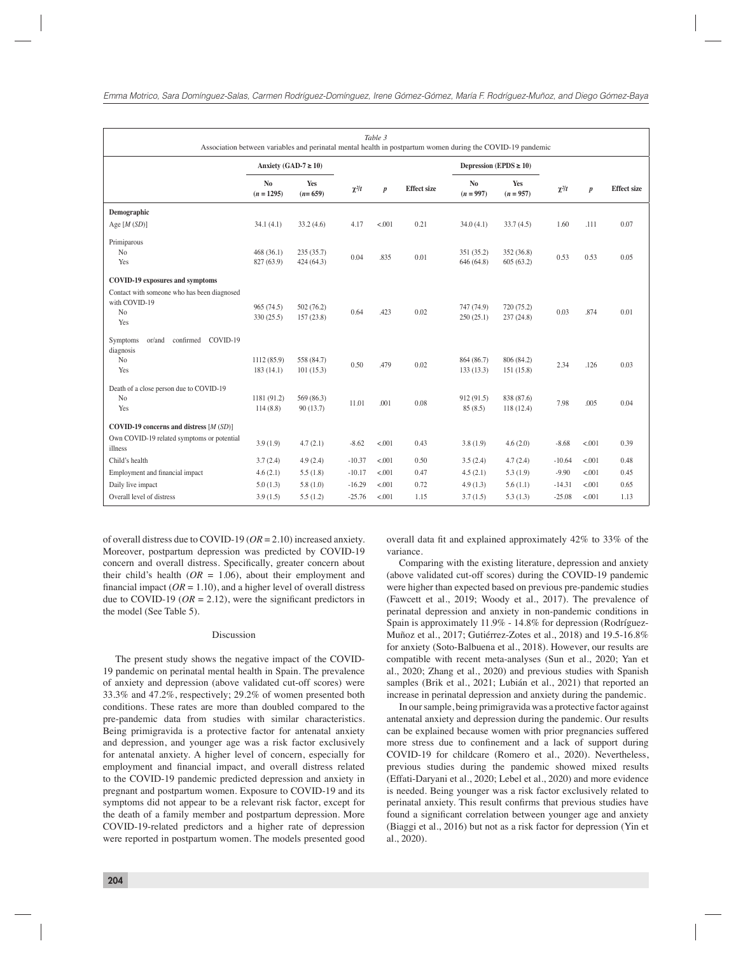|                                                                                                                                 |                                |                         |            | Table 3          | Association between variables and perinatal mental health in postpartum women during the COVID-19 pandemic |                               |                         |            |                  |                    |
|---------------------------------------------------------------------------------------------------------------------------------|--------------------------------|-------------------------|------------|------------------|------------------------------------------------------------------------------------------------------------|-------------------------------|-------------------------|------------|------------------|--------------------|
|                                                                                                                                 | Anxiety (GAD-7 $\geq$ 10)      |                         |            |                  |                                                                                                            | Depression (EPDS $\geq 10$ )  |                         |            |                  |                    |
|                                                                                                                                 | N <sub>o</sub><br>$(n = 1295)$ | Yes<br>$(n=659)$        | $\chi^2/t$ | $\boldsymbol{p}$ | <b>Effect</b> size                                                                                         | N <sub>o</sub><br>$(n = 997)$ | Yes<br>$(n = 957)$      | $\chi^2/t$ | $\boldsymbol{p}$ | <b>Effect</b> size |
| Demographic                                                                                                                     |                                |                         |            |                  |                                                                                                            |                               |                         |            |                  |                    |
| Age $[M(SD)]$                                                                                                                   | 34.1(4.1)                      | 33.2(4.6)               | 4.17       | < .001           | 0.21                                                                                                       | 34.0(4.1)                     | 33.7(4.5)               | 1.60       | .111             | 0.07               |
| Primiparous<br>No<br>Yes                                                                                                        | 468(36.1)<br>827 (63.9)        | 235(35.7)<br>424 (64.3) | 0.04       | .835             | 0.01                                                                                                       | 351 (35.2)<br>646 (64.8)      | 352 (36.8)<br>605(63.2) | 0.53       | 0.53             | 0.05               |
| <b>COVID-19 exposures and symptoms</b><br>Contact with someone who has been diagnosed<br>with COVID-19<br>N <sub>o</sub><br>Yes | 965 (74.5)<br>330 (25.5)       | 502(76.2)<br>157(23.8)  | 0.64       | .423             | 0.02                                                                                                       | 747 (74.9)<br>250(25.1)       | 720 (75.2)<br>237(24.8) | 0.03       | .874             | 0.01               |
| confirmed<br>COVID-19<br>or/and<br>Symptoms<br>diagnosis<br>N <sub>o</sub><br>Yes<br>Death of a close person due to COVID-19    | 1112(85.9)<br>183(14.1)        | 558 (84.7)<br>101(15.3) | 0.50       | .479             | 0.02                                                                                                       | 864 (86.7)<br>133(13.3)       | 806 (84.2)<br>151(15.8) | 2.34       | .126             | 0.03               |
| No<br>Yes                                                                                                                       | 1181 (91.2)<br>114(8.8)        | 569 (86.3)<br>90(13.7)  | 11.01      | .001             | 0.08                                                                                                       | 912 (91.5)<br>85(8.5)         | 838 (87.6)<br>118(12.4) | 7.98       | .005             | 0.04               |
| COVID-19 concerns and distress $[M(SD)]$                                                                                        |                                |                         |            |                  |                                                                                                            |                               |                         |            |                  |                    |
| Own COVID-19 related symptoms or potential<br>illness                                                                           | 3.9(1.9)                       | 4.7(2.1)                | $-8.62$    | < .001           | 0.43                                                                                                       | 3.8(1.9)                      | 4.6(2.0)                | $-8.68$    | < .001           | 0.39               |
| Child's health                                                                                                                  | 3.7(2.4)                       | 4.9(2.4)                | $-10.37$   | < .001           | 0.50                                                                                                       | 3.5(2.4)                      | 4.7(2.4)                | $-10.64$   | < .001           | 0.48               |
| Employment and financial impact                                                                                                 | 4.6(2.1)                       | 5.5(1.8)                | $-10.17$   | < .001           | 0.47                                                                                                       | 4.5(2.1)                      | 5.3(1.9)                | $-9.90$    | < .001           | 0.45               |
| Daily live impact                                                                                                               | 5.0(1.3)                       | 5.8(1.0)                | $-16.29$   | < .001           | 0.72                                                                                                       | 4.9(1.3)                      | 5.6(1.1)                | $-14.31$   | < 0.001          | 0.65               |
| Overall level of distress                                                                                                       | 3.9(1.5)                       | 5.5(1.2)                | $-25.76$   | < .001           | 1.15                                                                                                       | 3.7(1.5)                      | 5.3(1.3)                | $-25.08$   | < .001           | 1.13               |

of overall distress due to COVID-19 (*OR* = 2.10) increased anxiety. Moreover, postpartum depression was predicted by COVID-19 concern and overall distress. Specifically, greater concern about their child's health  $(OR = 1.06)$ , about their employment and financial impact  $(OR = 1.10)$ , and a higher level of overall distress due to COVID-19 ( $OR = 2.12$ ), were the significant predictors in the model (See Table 5).

# Discussion

The present study shows the negative impact of the COVID-19 pandemic on perinatal mental health in Spain. The prevalence of anxiety and depression (above validated cut-off scores) were 33.3% and 47.2%, respectively; 29.2% of women presented both conditions. These rates are more than doubled compared to the pre-pandemic data from studies with similar characteristics. Being primigravida is a protective factor for antenatal anxiety and depression, and younger age was a risk factor exclusively for antenatal anxiety. A higher level of concern, especially for employment and financial impact, and overall distress related to the COVID-19 pandemic predicted depression and anxiety in pregnant and postpartum women. Exposure to COVID-19 and its symptoms did not appear to be a relevant risk factor, except for the death of a family member and postpartum depression. More COVID-19-related predictors and a higher rate of depression were reported in postpartum women. The models presented good overall data fit and explained approximately 42% to 33% of the variance.

Comparing with the existing literature, depression and anxiety (above validated cut-off scores) during the COVID-19 pandemic were higher than expected based on previous pre-pandemic studies (Fawcett et al., 2019; Woody et al., 2017). The prevalence of perinatal depression and anxiety in non-pandemic conditions in Spain is approximately 11.9% - 14.8% for depression (Rodríguez-Muñoz et al., 2017; Gutiérrez-Zotes et al., 2018) and 19.5-16.8% for anxiety (Soto-Balbuena et al., 2018). However, our results are compatible with recent meta-analyses (Sun et al., 2020; Yan et al., 2020; Zhang et al., 2020) and previous studies with Spanish samples (Brik et al., 2021; Lubián et al., 2021) that reported an increase in perinatal depression and anxiety during the pandemic.

In our sample, being primigravida was a protective factor against antenatal anxiety and depression during the pandemic. Our results can be explained because women with prior pregnancies suffered more stress due to confinement and a lack of support during COVID-19 for childcare (Romero et al., 2020). Nevertheless, previous studies during the pandemic showed mixed results (Effati-Daryani et al., 2020; Lebel et al., 2020) and more evidence is needed. Being younger was a risk factor exclusively related to perinatal anxiety. This result confirms that previous studies have found a significant correlation between younger age and anxiety (Biaggi et al., 2016) but not as a risk factor for depression (Yin et al., 2020).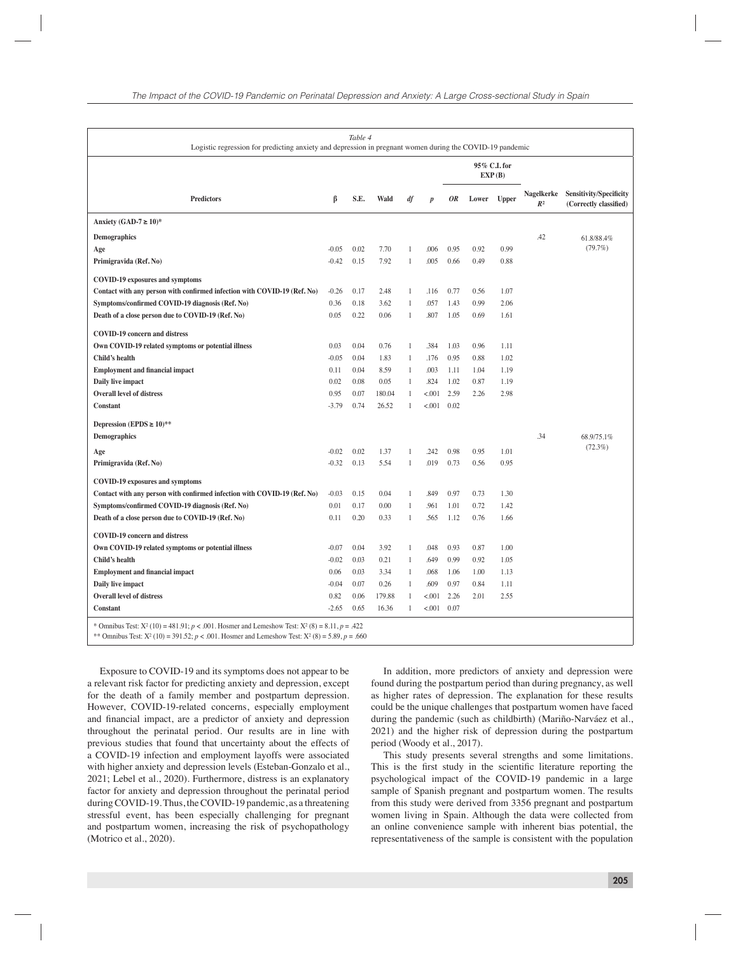| Table 4<br>Logistic regression for predicting anxiety and depression in pregnant women during the COVID-19 pandemic                                                                                              |         |      |              |                   |                  |                        |       |              |                              |                                                   |
|------------------------------------------------------------------------------------------------------------------------------------------------------------------------------------------------------------------|---------|------|--------------|-------------------|------------------|------------------------|-------|--------------|------------------------------|---------------------------------------------------|
|                                                                                                                                                                                                                  |         |      |              |                   |                  | 95% C.I. for<br>EXP(B) |       |              |                              |                                                   |
| <b>Predictors</b>                                                                                                                                                                                                | ß       | S.E. | Wald         | df                | $\boldsymbol{p}$ | 0R                     | Lower | <b>Upper</b> | Nagelkerke<br>R <sup>2</sup> | Sensitivity/Specificity<br>(Correctly classified) |
| Anxiety (GAD-7 $\geq$ 10)*                                                                                                                                                                                       |         |      |              |                   |                  |                        |       |              |                              |                                                   |
| <b>Demographics</b>                                                                                                                                                                                              |         |      |              |                   |                  |                        |       |              | .42                          | 61.8/88.4%                                        |
| Age                                                                                                                                                                                                              | $-0.05$ | 0.02 | 7.70         | 1                 | .006             | 0.95                   | 0.92  | 0.99         |                              | (79.7%)                                           |
| Primigravida (Ref. No)                                                                                                                                                                                           | $-0.42$ | 0.15 | 7.92         | 1                 | .005             | 0.66                   | 0.49  | 0.88         |                              |                                                   |
| <b>COVID-19 exposures and symptoms</b>                                                                                                                                                                           |         |      |              |                   |                  |                        |       |              |                              |                                                   |
| Contact with any person with confirmed infection with COVID-19 (Ref. No)                                                                                                                                         | $-0.26$ | 0.17 | 2.48         | $\mathbf{1}$      | .116             | 0.77                   | 0.56  | 1.07         |                              |                                                   |
| Symptoms/confirmed COVID-19 diagnosis (Ref. No)                                                                                                                                                                  | 0.36    | 0.18 | 3.62         | 1                 | .057             | 1.43                   | 0.99  | 2.06         |                              |                                                   |
| Death of a close person due to COVID-19 (Ref. No)                                                                                                                                                                | 0.05    | 0.22 | 0.06         | $\mathbf{1}$      | .807             | 1.05                   | 0.69  | 1.61         |                              |                                                   |
|                                                                                                                                                                                                                  |         |      |              |                   |                  |                        |       |              |                              |                                                   |
| <b>COVID-19 concern and distress</b>                                                                                                                                                                             | 0.03    | 0.04 |              |                   | .384             | 1.03                   | 0.96  | 1.11         |                              |                                                   |
| Own COVID-19 related symptoms or potential illness<br>Child's health                                                                                                                                             | $-0.05$ | 0.04 | 0.76<br>1.83 | 1<br>$\mathbf{1}$ | .176             | 0.95                   | 0.88  | 1.02         |                              |                                                   |
| <b>Employment and financial impact</b>                                                                                                                                                                           | 0.11    | 0.04 | 8.59         | $\mathbf{1}$      | .003             | 1.11                   | 1.04  | 1.19         |                              |                                                   |
| Daily live impact                                                                                                                                                                                                | 0.02    | 0.08 | 0.05         | 1                 | .824             | 1.02                   | 0.87  | 1.19         |                              |                                                   |
| Overall level of distress                                                                                                                                                                                        | 0.95    | 0.07 | 180.04       | 1                 | < 0.001          | 2.59                   | 2.26  | 2.98         |                              |                                                   |
| <b>Constant</b>                                                                                                                                                                                                  | $-3.79$ | 0.74 | 26.52        | $\mathbf{1}$      | < 0.001          | 0.02                   |       |              |                              |                                                   |
|                                                                                                                                                                                                                  |         |      |              |                   |                  |                        |       |              |                              |                                                   |
| Depression (EPDS $\geq 10$ )**                                                                                                                                                                                   |         |      |              |                   |                  |                        |       |              | .34                          |                                                   |
| <b>Demographics</b>                                                                                                                                                                                              |         |      |              |                   |                  |                        |       |              |                              | 68.9/75.1%<br>$(72.3\%)$                          |
| Age                                                                                                                                                                                                              | $-0.02$ | 0.02 | 1.37         | 1                 | .242             | 0.98                   | 0.95  | 1.01         |                              |                                                   |
| Primigravida (Ref. No)                                                                                                                                                                                           | $-0.32$ | 0.13 | 5.54         | 1                 | .019             | 0.73                   | 0.56  | 0.95         |                              |                                                   |
| <b>COVID-19 exposures and symptoms</b>                                                                                                                                                                           |         |      |              |                   |                  |                        |       |              |                              |                                                   |
| Contact with any person with confirmed infection with COVID-19 (Ref. No)                                                                                                                                         | $-0.03$ | 0.15 | 0.04         | 1                 | .849             | 0.97                   | 0.73  | 1.30         |                              |                                                   |
| Symptoms/confirmed COVID-19 diagnosis (Ref. No)                                                                                                                                                                  | 0.01    | 0.17 | 0.00         | $\mathbf{1}$      | .961             | 1.01                   | 0.72  | 1.42         |                              |                                                   |
| Death of a close person due to COVID-19 (Ref. No)                                                                                                                                                                | 0.11    | 0.20 | 0.33         | $\mathbf{1}$      | .565             | 1.12                   | 0.76  | 1.66         |                              |                                                   |
| <b>COVID-19 concern and distress</b>                                                                                                                                                                             |         |      |              |                   |                  |                        |       |              |                              |                                                   |
| Own COVID-19 related symptoms or potential illness                                                                                                                                                               | $-0.07$ | 0.04 | 3.92         | 1                 | .048             | 0.93                   | 0.87  | 1.00         |                              |                                                   |
| Child's health                                                                                                                                                                                                   | $-0.02$ | 0.03 | 0.21         | $\mathbf{1}$      | .649             | 0.99                   | 0.92  | 1.05         |                              |                                                   |
| <b>Employment and financial impact</b>                                                                                                                                                                           | 0.06    | 0.03 | 3.34         | $\mathbf{1}$      | .068             | 1.06                   | 1.00  | 1.13         |                              |                                                   |
| Daily live impact                                                                                                                                                                                                | $-0.04$ | 0.07 | 0.26         | $\mathbf{1}$      | .609             | 0.97                   | 0.84  | 1.11         |                              |                                                   |
| <b>Overall level of distress</b>                                                                                                                                                                                 | 0.82    | 0.06 | 179.88       | 1                 | < 0.001          | 2.26                   | 2.01  | 2.55         |                              |                                                   |
| <b>Constant</b>                                                                                                                                                                                                  | $-2.65$ | 0.65 | 16.36        | 1                 | < 0.001          | 0.07                   |       |              |                              |                                                   |
| * Omnibus Test: $X^2$ (10) = 481.91; $p < .001$ . Hosmer and Lemeshow Test: $X^2$ (8) = 8.11, $p = .422$<br>** Omnibus Test: $X^2$ (10) = 391.52; p < .001. Hosmer and Lemeshow Test: $X^2$ (8) = 5.89, p = .660 |         |      |              |                   |                  |                        |       |              |                              |                                                   |

Exposure to COVID-19 and its symptoms does not appear to be a relevant risk factor for predicting anxiety and depression, except for the death of a family member and postpartum depression. However, COVID-19-related concerns, especially employment and financial impact, are a predictor of anxiety and depression throughout the perinatal period. Our results are in line with previous studies that found that uncertainty about the effects of a COVID-19 infection and employment layoffs were associated with higher anxiety and depression levels (Esteban-Gonzalo et al., 2021; Lebel et al., 2020). Furthermore, distress is an explanatory factor for anxiety and depression throughout the perinatal period during COVID-19. Thus, the COVID-19 pandemic, as a threatening stressful event, has been especially challenging for pregnant and postpartum women, increasing the risk of psychopathology (Motrico et al., 2020).

In addition, more predictors of anxiety and depression were found during the postpartum period than during pregnancy, as well as higher rates of depression. The explanation for these results could be the unique challenges that postpartum women have faced during the pandemic (such as childbirth) (Mariño-Narváez et al., 2021) and the higher risk of depression during the postpartum period (Woody et al., 2017).

This study presents several strengths and some limitations. This is the first study in the scientific literature reporting the psychological impact of the COVID-19 pandemic in a large sample of Spanish pregnant and postpartum women. The results from this study were derived from 3356 pregnant and postpartum women living in Spain. Although the data were collected from an online convenience sample with inherent bias potential, the representativeness of the sample is consistent with the population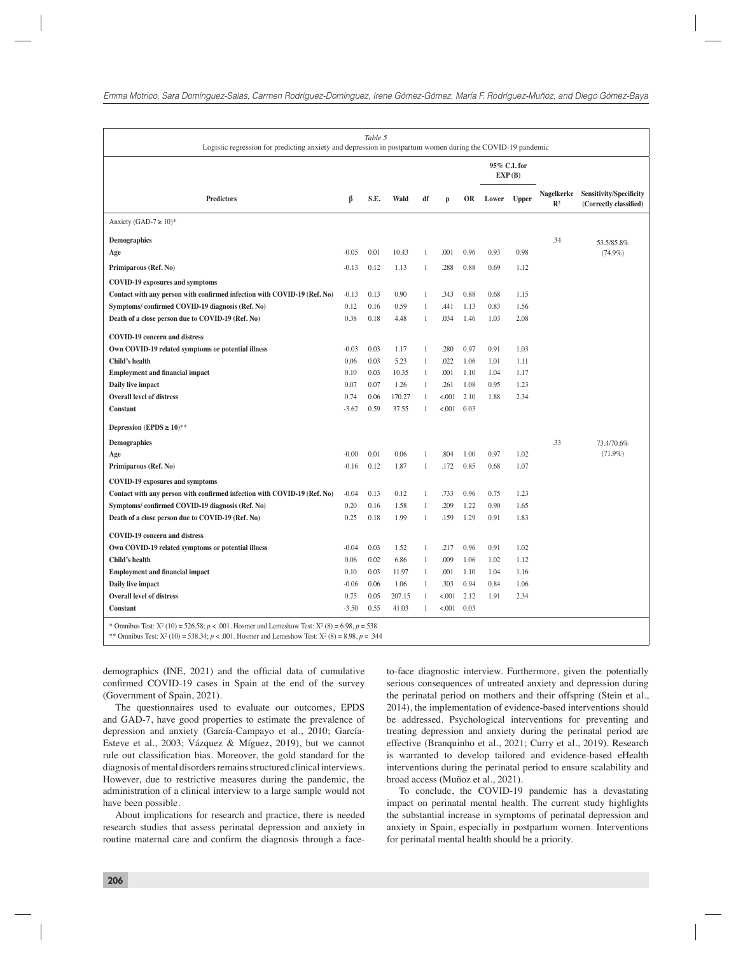|                                                                          | ß       |      |        | df           | $\mathbf{p}$ |           | 95% C.I. for<br>EXP(B) |              |                              |                                                          |
|--------------------------------------------------------------------------|---------|------|--------|--------------|--------------|-----------|------------------------|--------------|------------------------------|----------------------------------------------------------|
| <b>Predictors</b>                                                        |         | S.E. | Wald   |              |              | <b>OR</b> | Lower                  | <b>Upper</b> | Nagelkerke<br>$\mathbb{R}^2$ | <b>Sensitivity/Specificity</b><br>(Correctly classified) |
| Anxiety (GAD-7 $\geq$ 10)*                                               |         |      |        |              |              |           |                        |              |                              |                                                          |
| <b>Demographics</b>                                                      |         |      |        |              |              |           |                        |              | .34                          | 53.5/85.8%                                               |
| Age                                                                      | $-0.05$ | 0.01 | 10.43  | $\mathbf{1}$ | .001         | 0.96      | 0.93                   | 0.98         |                              | $(74.9\%)$                                               |
| Primiparous (Ref. No)                                                    | $-0.13$ | 0.12 | 1.13   | $\mathbf{1}$ | .288         | 0.88      | 0.69                   | 1.12         |                              |                                                          |
| <b>COVID-19 exposures and symptoms</b>                                   |         |      |        |              |              |           |                        |              |                              |                                                          |
| Contact with any person with confirmed infection with COVID-19 (Ref. No) | $-0.13$ | 0.13 | 0.90   | $\mathbf{1}$ | .343         | 0.88      | 0.68                   | 1.15         |                              |                                                          |
| Symptoms/confirmed COVID-19 diagnosis (Ref. No)                          | 0.12    | 0.16 | 0.59   | $\mathbf{1}$ | .441         | 1.13      | 0.83                   | 1.56         |                              |                                                          |
| Death of a close person due to COVID-19 (Ref. No)                        | 0.38    | 0.18 | 4.48   | $\mathbf{1}$ | .034         | 1.46      | 1.03                   | 2.08         |                              |                                                          |
| <b>COVID-19 concern and distress</b>                                     |         |      |        |              |              |           |                        |              |                              |                                                          |
| Own COVID-19 related symptoms or potential illness                       | $-0.03$ | 0.03 | 1.17   | $\mathbf{1}$ | .280         | 0.97      | 0.91                   | 1.03         |                              |                                                          |
| Child's health                                                           | 0.06    | 0.03 | 5.23   | $\mathbf{1}$ | .022         | 1.06      | 1.01                   | 1.11         |                              |                                                          |
| <b>Employment and financial impact</b>                                   | 0.10    | 0.03 | 10.35  | $\mathbf{1}$ | .001         | 1.10      | 1.04                   | 1.17         |                              |                                                          |
| Daily live impact                                                        | 0.07    | 0.07 | 1.26   | $\mathbf{1}$ | .261         | 1.08      | 0.95                   | 1.23         |                              |                                                          |
| <b>Overall level of distress</b>                                         | 0.74    | 0.06 | 170.27 | $\mathbf{1}$ | < .001       | 2.10      | 1.88                   | 2.34         |                              |                                                          |
| <b>Constant</b>                                                          | $-3.62$ | 0.59 | 37.55  | $\mathbf{1}$ | < .001       | 0.03      |                        |              |                              |                                                          |
| Depression (EPDS $\geq 10$ )**                                           |         |      |        |              |              |           |                        |              |                              |                                                          |
| <b>Demographics</b>                                                      |         |      |        |              |              |           |                        |              | .33                          | 73.4/70.6%                                               |
| Age                                                                      | $-0.00$ | 0.01 | 0.06   | 1            | .804         | 1.00      | 0.97                   | 1.02         |                              | $(71.9\%)$                                               |
| Primiparous (Ref. No)                                                    | $-0.16$ | 0.12 | 1.87   | 1            | .172         | 0.85      | 0.68                   | 1.07         |                              |                                                          |
| <b>COVID-19 exposures and symptoms</b>                                   |         |      |        |              |              |           |                        |              |                              |                                                          |
| Contact with any person with confirmed infection with COVID-19 (Ref. No) | $-0.04$ | 0.13 | 0.12   | $\mathbf{1}$ | .733         | 0.96      | 0.75                   | 1.23         |                              |                                                          |
| Symptoms/confirmed COVID-19 diagnosis (Ref. No)                          | 0.20    | 0.16 | 1.58   | $\mathbf{1}$ | .209         | 1.22      | 0.90                   | 1.65         |                              |                                                          |
| Death of a close person due to COVID-19 (Ref. No)                        | 0.25    | 0.18 | 1.99   | $\mathbf{1}$ | .159         | 1.29      | 0.91                   | 1.83         |                              |                                                          |
| <b>COVID-19 concern and distress</b>                                     |         |      |        |              |              |           |                        |              |                              |                                                          |
| Own COVID-19 related symptoms or potential illness                       | $-0.04$ | 0.03 | 1.52   | $\mathbf{1}$ | .217         | 0.96      | 0.91                   | 1.02         |                              |                                                          |
| Child's health                                                           | 0.06    | 0.02 | 6.86   | $\mathbf{1}$ | .009         | 1.06      | 1.02                   | 1.12         |                              |                                                          |
| <b>Employment and financial impact</b>                                   | 0.10    | 0.03 | 11.97  | $\mathbf{1}$ | .001         | 1.10      | 1.04                   | 1.16         |                              |                                                          |
| Daily live impact                                                        | $-0.06$ | 0.06 | 1.06   | $\mathbf{1}$ | .303         | 0.94      | 0.84                   | 1.06         |                              |                                                          |
| <b>Overall level of distress</b>                                         | 0.75    | 0.05 | 207.15 | $\mathbf{1}$ | < .001       | 2.12      | 1.91                   | 2.34         |                              |                                                          |
| Constant                                                                 | $-3.50$ | 0.55 | 41.03  | $\mathbf{1}$ | < 0.001      | 0.03      |                        |              |                              |                                                          |

demographics (INE, 2021) and the official data of cumulative confirmed COVID-19 cases in Spain at the end of the survey (Government of Spain, 2021).

The questionnaires used to evaluate our outcomes, EPDS and GAD-7, have good properties to estimate the prevalence of depression and anxiety (García-Campayo et al., 2010; García-Esteve et al., 2003; Vázquez & Míguez, 2019), but we cannot rule out classification bias. Moreover, the gold standard for the diagnosis of mental disorders remains structured clinical interviews. However, due to restrictive measures during the pandemic, the administration of a clinical interview to a large sample would not have been possible.

About implications for research and practice, there is needed research studies that assess perinatal depression and anxiety in routine maternal care and confirm the diagnosis through a faceto-face diagnostic interview. Furthermore, given the potentially serious consequences of untreated anxiety and depression during the perinatal period on mothers and their offspring (Stein et al., 2014), the implementation of evidence-based interventions should be addressed. Psychological interventions for preventing and treating depression and anxiety during the perinatal period are effective (Branquinho et al., 2021; Curry et al., 2019). Research is warranted to develop tailored and evidence-based eHealth interventions during the perinatal period to ensure scalability and broad access (Muñoz et al., 2021).

To conclude, the COVID-19 pandemic has a devastating impact on perinatal mental health. The current study highlights the substantial increase in symptoms of perinatal depression and anxiety in Spain, especially in postpartum women. Interventions for perinatal mental health should be a priority.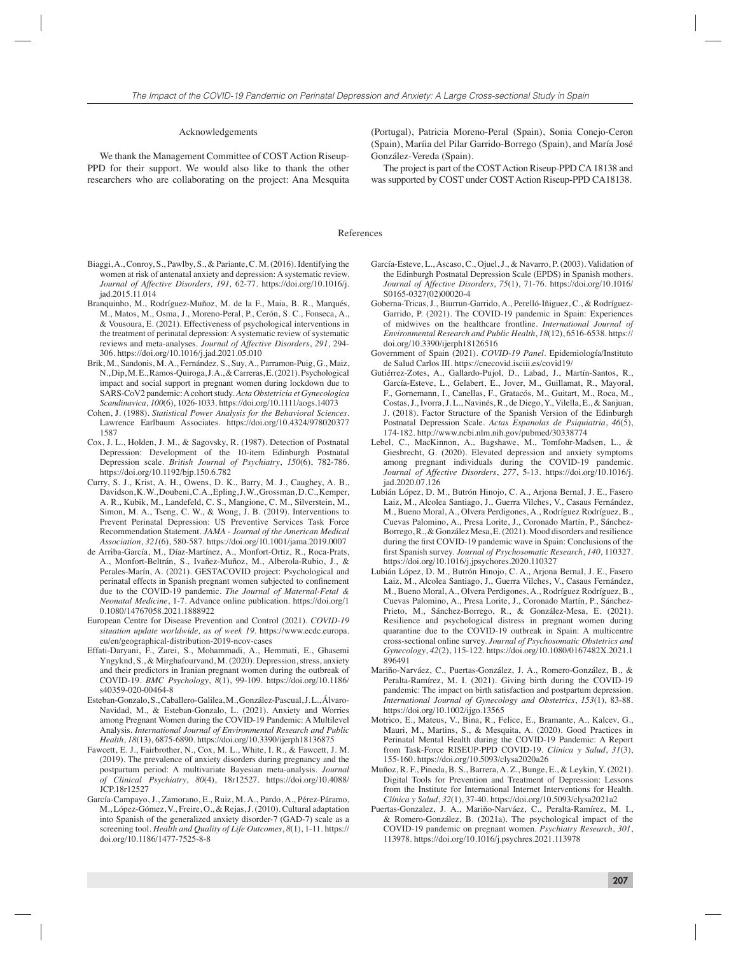#### Acknowledgements

We thank the Management Committee of COST Action Riseup-PPD for their support. We would also like to thank the other researchers who are collaborating on the project: Ana Mesquita (Portugal), Patricia Moreno-Peral (Spain), Sonia Conejo-Ceron (Spain), Maríia del Pilar Garrido-Borrego (Spain), and María José González-Vereda (Spain).

The project is part of the COST Action Riseup-PPD CA 18138 and was supported by COST under COST Action Riseup-PPD CA18138.

## References

- Biaggi, A., Conroy, S., Pawlby, S., & Pariante, C. M. (2016). Identifying the women at risk of antenatal anxiety and depression: A systematic review. *Journal of Affective Disorders, 191,* 62-77. https://doi.org/10.1016/j. jad.2015.11.014
- Branquinho, M., Rodríguez-Muñoz, M. de la F., Maia, B. R., Marqués, M., Matos, M., Osma, J., Moreno-Peral, P., Cerón, S. C., Fonseca, A., & Vousoura, E. (2021). Effectiveness of psychological interventions in the treatment of perinatal depression: A systematic review of systematic reviews and meta-analyses. *Journal of Affective Disorders*, *291*, 294- 306. https://doi.org/10.1016/j.jad.2021.05.010
- Brik, M., Sandonis, M. A., Fernández, S., Suy, A., Parramon-Puig, G., Maiz, N., Dip, M. E., Ramos-Quiroga, J. A., & Carreras, E. (2021). Psychological impact and social support in pregnant women during lockdown due to SARS-CoV2 pandemic: A cohort study. *Acta Obstetricia et Gynecologica Scandinavica*, *100*(6), 1026-1033. https://doi.org/10.1111/aogs.14073
- Cohen, J. (1988). *Statistical Power Analysis for the Behavioral Sciences*. Lawrence Earlbaum Associates. https://doi.org/10.4324/978020377 1587
- Cox, J. L., Holden, J. M., & Sagovsky, R. (1987). Detection of Postnatal Depression: Development of the 10-item Edinburgh Postnatal Depression scale. *British Journal of Psychiatry*, *150*(6), 782-786. https://doi.org/10.1192/bjp.150.6.782
- Curry, S. J., Krist, A. H., Owens, D. K., Barry, M. J., Caughey, A. B., Davidson, K. W., Doubeni, C. A., Epling, J. W., Grossman, D. C., Kemper, A. R., Kubik, M., Landefeld, C. S., Mangione, C. M., Silverstein, M., Simon, M. A., Tseng, C. W., & Wong, J. B. (2019). Interventions to Prevent Perinatal Depression: US Preventive Services Task Force Recommendation Statement. *JAMA - Journal of the American Medical Association*, *321*(6), 580-587. https://doi.org/10.1001/jama.2019.0007
- de Arriba-García, M., Díaz-Martínez, A., Monfort-Ortiz, R., Roca-Prats, A., Monfort-Beltrán, S., Ivañez-Muñoz, M., Alberola-Rubio, J., & Perales-Marín, A. (2021). GESTACOVID project: Psychological and perinatal effects in Spanish pregnant women subjected to confinement due to the COVID-19 pandemic. *The Journal of Maternal-Fetal & Neonatal Medicine*, 1-7. Advance online publication. https://doi.org/1 0.1080/14767058.2021.1888922
- European Centre for Disease Prevention and Control (2021). *COVID-19 situation update worldwide, as of week 19*. https://www.ecdc.europa. eu/en/geographical-distribution-2019-ncov-cases
- Effati-Daryani, F., Zarei, S., Mohammadi, A., Hemmati, E., Ghasemi Yngyknd, S., & Mirghafourvand, M. (2020). Depression, stress, anxiety and their predictors in Iranian pregnant women during the outbreak of COVID-19. *BMC Psychology*, *8*(1), 99-109. https://doi.org/10.1186/ s40359-020-00464-8
- Esteban-Gonzalo, S., Caballero-Galilea, M., González-Pascual, J. L., Álvaro-Navidad, M., & Esteban-Gonzalo, L. (2021). Anxiety and Worries among Pregnant Women during the COVID-19 Pandemic: A Multilevel Analysis. *International Journal of Environmental Research and Public Health*, *18*(13), 6875-6890. https://doi.org/10.3390/ijerph18136875
- Fawcett, E. J., Fairbrother, N., Cox, M. L., White, I. R., & Fawcett, J. M. (2019). The prevalence of anxiety disorders during pregnancy and the postpartum period: A multivariate Bayesian meta-analysis. *Journal of Clinical Psychiatry*, *80*(4), 18r12527. https://doi.org/10.4088/ JCP.18r12527
- García-Campayo, J., Zamorano, E., Ruiz, M. A., Pardo, A., Pérez-Páramo, M., López-Gómez, V., Freire, O., & Rejas, J. (2010). Cultural adaptation into Spanish of the generalized anxiety disorder-7 (GAD-7) scale as a screening tool. *Health and Quality of Life Outcomes*, *8*(1), 1-11. https:// doi.org/10.1186/1477-7525-8-8
- García-Esteve, L., Ascaso, C., Ojuel, J., & Navarro, P. (2003). Validation of the Edinburgh Postnatal Depression Scale (EPDS) in Spanish mothers. *Journal of Affective Disorders*, *75*(1), 71-76. https://doi.org/10.1016/ S0165-0327(02)00020-4
- Goberna-Tricas, J., Biurrun-Garrido, A., Perelló-Iñiguez, C., & Rodríguez-Garrido, P. (2021). The COVID-19 pandemic in Spain: Experiences of midwives on the healthcare frontline. *International Journal of Environmental Research and Public Health*, *18*(12), 6516-6538. https:// doi.org/10.3390/ijerph18126516
- Government of Spain (2021). *COVID-19 Panel*. Epidemiología/Instituto de Salud Carlos III. https://cnecovid.isciii.es/covid19/
- Gutiérrez-Zotes, A., Gallardo-Pujol, D., Labad, J., Martín-Santos, R., García-Esteve, L., Gelabert, E., Jover, M., Guillamat, R., Mayoral, F., Gornemann, I., Canellas, F., Gratacós, M., Guitart, M., Roca, M., Costas, J., Ivorra, J. L., Navinés, R., de Diego, Y., Vilella, E., & Sanjuan, J. (2018). Factor Structure of the Spanish Version of the Edinburgh Postnatal Depression Scale. *Actas Espanolas de Psiquiatria*, *46*(5), 174-182. http://www.ncbi.nlm.nih.gov/pubmed/30338774
- Lebel, C., MacKinnon, A., Bagshawe, M., Tomfohr-Madsen, L., & Giesbrecht, G. (2020). Elevated depression and anxiety symptoms among pregnant individuals during the COVID-19 pandemic. *Journal of Affective Disorders*, *277*, 5-13. https://doi.org/10.1016/j. jad.2020.07.126
- Lubián López, D. M., Butrón Hinojo, C. A., Arjona Bernal, J. E., Fasero Laiz, M., Alcolea Santiago, J., Guerra Vilches, V., Casaus Fernández, M., Bueno Moral, A., Olvera Perdigones, A., Rodríguez Rodríguez, B., Cuevas Palomino, A., Presa Lorite, J., Coronado Martín, P., Sánchez-Borrego, R., & González Mesa, E. (2021). Mood disorders and resilience during the first COVID-19 pandemic wave in Spain: Conclusions of the first Spanish survey. *Journal of Psychosomatic Research*, 140, 110327. https://doi.org/10.1016/j.jpsychores.2020.110327
- Lubián López, D. M., Butrón Hinojo, C. A., Arjona Bernal, J. E., Fasero Laiz, M., Alcolea Santiago, J., Guerra Vilches, V., Casaus Fernández, M., Bueno Moral, A., Olvera Perdigones, A., Rodríguez Rodríguez, B., Cuevas Palomino, A., Presa Lorite, J., Coronado Martín, P., Sánchez-Prieto, M., Sánchez-Borrego, R., & González-Mesa, E. (2021). Resilience and psychological distress in pregnant women during quarantine due to the COVID-19 outbreak in Spain: A multicentre cross-sectional online survey. *Journal of Psychosomatic Obstetrics and Gynecology*, *42*(2), 115-122. https://doi.org/10.1080/0167482X.2021.1 896491
- Mariño-Narváez, C., Puertas-González, J. A., Romero-González, B., & Peralta-Ramírez, M. I. (2021). Giving birth during the COVID-19 pandemic: The impact on birth satisfaction and postpartum depression. *International Journal of Gynecology and Obstetrics*, *153*(1), 83-88. https://doi.org/10.1002/ijgo.13565
- Motrico, E., Mateus, V., Bina, R., Felice, E., Bramante, A., Kalcev, G., Mauri, M., Martins, S., & Mesquita, A. (2020). Good Practices in Perinatal Mental Health during the COVID-19 Pandemic: A Report from Task-Force RISEUP-PPD COVID-19. *Clínica y Salud*, *31*(3), 155-160. https://doi.org/10.5093/clysa2020a26
- Muñoz, R. F., Pineda, B. S., Barrera, A. Z., Bunge, E., & Leykin, Y. (2021). Digital Tools for Prevention and Treatment of Depression: Lessons from the Institute for International Internet Interventions for Health. *Clínica y Salud*, *32*(1), 37-40. https://doi.org/10.5093/clysa2021a2
- Puertas-Gonzalez, J. A., Mariño-Narváez, C., Peralta-Ramírez, M. I., & Romero-González, B. (2021a). The psychological impact of the COVID-19 pandemic on pregnant women. *Psychiatry Research*, *301*, 113978. https://doi.org/10.1016/j.psychres.2021.113978